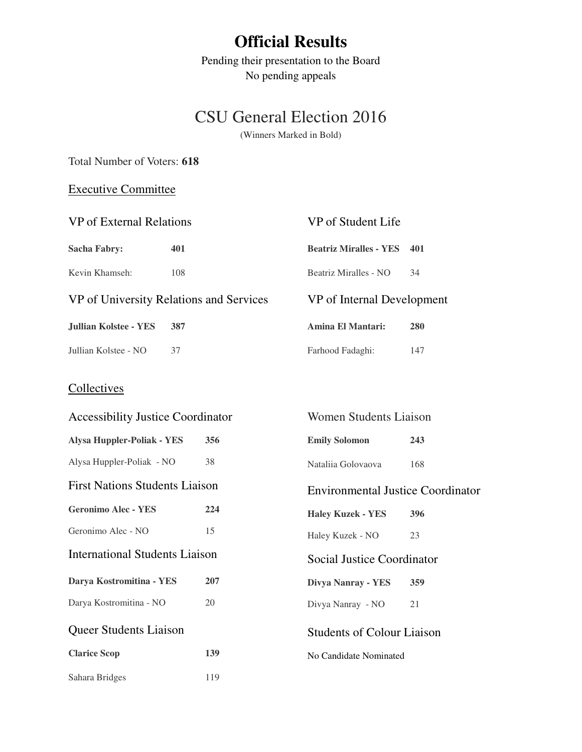# **Official Results**

Pending their presentation to the Board No pending appeals

# CSU General Election 2016

(Winners Marked in Bold)

### Total Number of Voters: **618**

## Executive Committee

| VP of External Relations                |     | VP of Student Life            |     |  |
|-----------------------------------------|-----|-------------------------------|-----|--|
| Sacha Fabry:                            | 401 | <b>Beatriz Miralles - YES</b> | 401 |  |
| Kevin Khamseh:                          | 108 | Beatriz Miralles - NO         | 34  |  |
| VP of University Relations and Services |     | VP of Internal Development    |     |  |
| <b>Jullian Kolstee - YES</b>            | 387 | Amina El Mantari:             | 280 |  |
| Jullian Kolstee - NO                    | 37  | Farhood Fadaghi:              | 147 |  |

## **Collectives**

| <b>Accessibility Justice Coordinator</b> |     | Women Students Liaison                   |     |
|------------------------------------------|-----|------------------------------------------|-----|
| <b>Alysa Huppler-Poliak - YES</b>        | 356 | <b>Emily Solomon</b>                     | 243 |
| Alysa Huppler-Poliak - NO                | 38  | Nataliia Golovaova                       | 168 |
| <b>First Nations Students Liaison</b>    |     | <b>Environmental Justice Coordinator</b> |     |
| <b>Geronimo Alec - YES</b>               | 224 | <b>Haley Kuzek - YES</b>                 | 396 |
| Geronimo Alec - NO                       | 15  | Haley Kuzek - NO                         | 23  |
| <b>International Students Liaison</b>    |     | Social Justice Coordinator               |     |
| Darya Kostromitina - YES                 | 207 | Divya Nanray - YES                       | 359 |
| Darya Kostromitina - NO                  | 20  | Divya Nanray - NO                        | 21  |
| Queer Students Liaison                   |     | <b>Students of Colour Liaison</b>        |     |
| <b>Clarice Scop</b>                      | 139 | No Candidate Nominated                   |     |
| Sahara Bridges                           | 119 |                                          |     |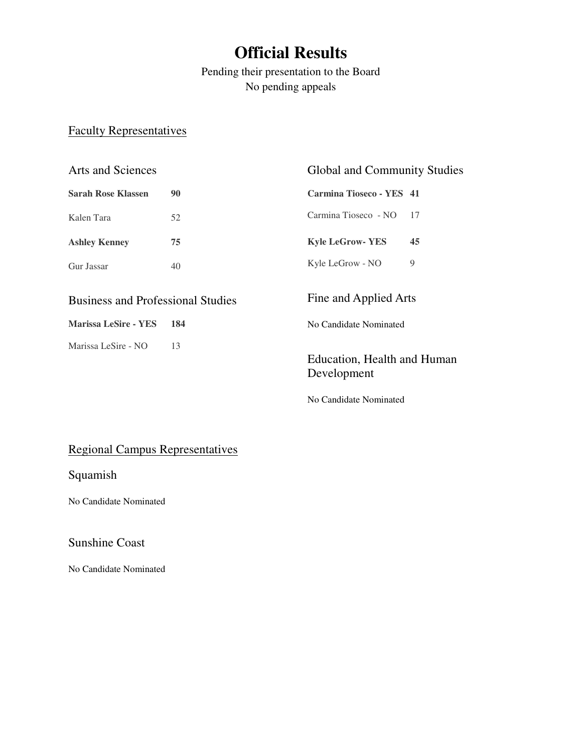# **Official Results**

Pending their presentation to the Board No pending appeals

### Faculty Representatives

| <b>Arts and Sciences</b>                 |    | Global and Community Studies |      |
|------------------------------------------|----|------------------------------|------|
| Sarah Rose Klassen                       | 90 | Carmina Tioseco - YES 41     |      |
| Kalen Tara                               | 52 | Carmina Tioseco - NO         | - 17 |
| <b>Ashley Kenney</b>                     | 75 | <b>Kyle LeGrow-YES</b>       | 45   |
| Gur Jassar                               | 40 | Kyle LeGrow - NO             | 9    |
| <b>Business and Professional Studies</b> |    | Fine and Applied Arts        |      |

**Marissa LeSire - YES 184** 

Marissa LeSire - NO 13

Education, Health and Human Development

No Candidate Nominated

No Candidate Nominated

### Regional Campus Representatives

Squamish

No Candidate Nominated

## Sunshine Coast

No Candidate Nominated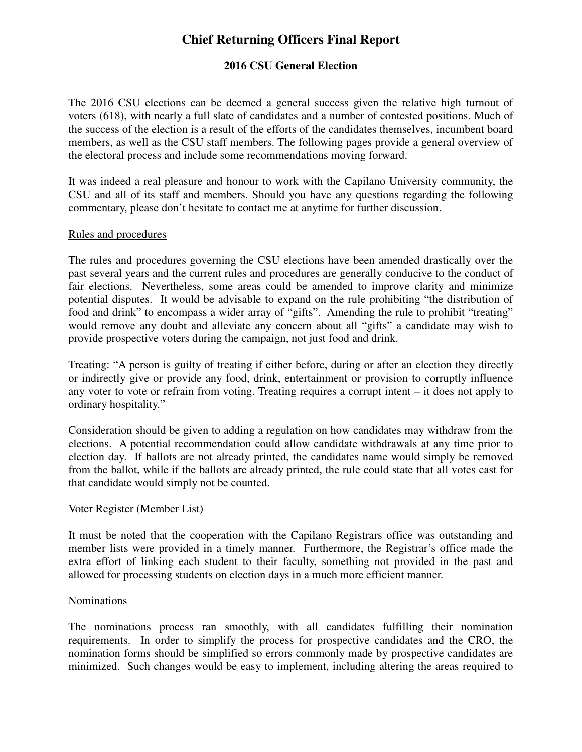## **Chief Returning Officers Final Report**

#### **2016 CSU General Election**

The 2016 CSU elections can be deemed a general success given the relative high turnout of voters (618), with nearly a full slate of candidates and a number of contested positions. Much of the success of the election is a result of the efforts of the candidates themselves, incumbent board members, as well as the CSU staff members. The following pages provide a general overview of the electoral process and include some recommendations moving forward.

It was indeed a real pleasure and honour to work with the Capilano University community, the CSU and all of its staff and members. Should you have any questions regarding the following commentary, please don't hesitate to contact me at anytime for further discussion.

#### Rules and procedures

The rules and procedures governing the CSU elections have been amended drastically over the past several years and the current rules and procedures are generally conducive to the conduct of fair elections. Nevertheless, some areas could be amended to improve clarity and minimize potential disputes. It would be advisable to expand on the rule prohibiting "the distribution of food and drink" to encompass a wider array of "gifts". Amending the rule to prohibit "treating" would remove any doubt and alleviate any concern about all "gifts" a candidate may wish to provide prospective voters during the campaign, not just food and drink.

Treating: "A person is guilty of treating if either before, during or after an election they directly or indirectly give or provide any food, drink, entertainment or provision to corruptly influence any voter to vote or refrain from voting. Treating requires a corrupt intent – it does not apply to ordinary hospitality."

Consideration should be given to adding a regulation on how candidates may withdraw from the elections. A potential recommendation could allow candidate withdrawals at any time prior to election day. If ballots are not already printed, the candidates name would simply be removed from the ballot, while if the ballots are already printed, the rule could state that all votes cast for that candidate would simply not be counted.

#### Voter Register (Member List)

It must be noted that the cooperation with the Capilano Registrars office was outstanding and member lists were provided in a timely manner. Furthermore, the Registrar's office made the extra effort of linking each student to their faculty, something not provided in the past and allowed for processing students on election days in a much more efficient manner.

#### Nominations

The nominations process ran smoothly, with all candidates fulfilling their nomination requirements. In order to simplify the process for prospective candidates and the CRO, the nomination forms should be simplified so errors commonly made by prospective candidates are minimized. Such changes would be easy to implement, including altering the areas required to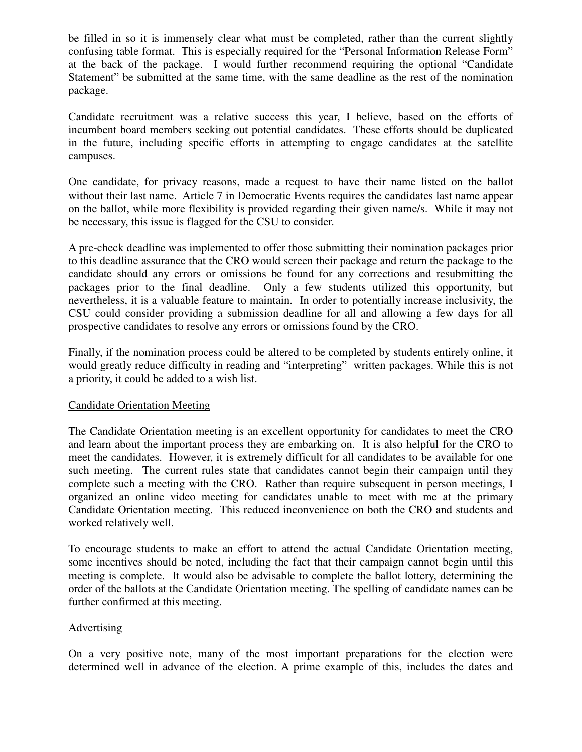be filled in so it is immensely clear what must be completed, rather than the current slightly confusing table format. This is especially required for the "Personal Information Release Form" at the back of the package. I would further recommend requiring the optional "Candidate Statement" be submitted at the same time, with the same deadline as the rest of the nomination package.

Candidate recruitment was a relative success this year, I believe, based on the efforts of incumbent board members seeking out potential candidates. These efforts should be duplicated in the future, including specific efforts in attempting to engage candidates at the satellite campuses.

One candidate, for privacy reasons, made a request to have their name listed on the ballot without their last name. Article 7 in Democratic Events requires the candidates last name appear on the ballot, while more flexibility is provided regarding their given name/s. While it may not be necessary, this issue is flagged for the CSU to consider.

A pre-check deadline was implemented to offer those submitting their nomination packages prior to this deadline assurance that the CRO would screen their package and return the package to the candidate should any errors or omissions be found for any corrections and resubmitting the packages prior to the final deadline. Only a few students utilized this opportunity, but nevertheless, it is a valuable feature to maintain. In order to potentially increase inclusivity, the CSU could consider providing a submission deadline for all and allowing a few days for all prospective candidates to resolve any errors or omissions found by the CRO.

Finally, if the nomination process could be altered to be completed by students entirely online, it would greatly reduce difficulty in reading and "interpreting" written packages. While this is not a priority, it could be added to a wish list.

#### Candidate Orientation Meeting

The Candidate Orientation meeting is an excellent opportunity for candidates to meet the CRO and learn about the important process they are embarking on. It is also helpful for the CRO to meet the candidates. However, it is extremely difficult for all candidates to be available for one such meeting. The current rules state that candidates cannot begin their campaign until they complete such a meeting with the CRO. Rather than require subsequent in person meetings, I organized an online video meeting for candidates unable to meet with me at the primary Candidate Orientation meeting. This reduced inconvenience on both the CRO and students and worked relatively well.

To encourage students to make an effort to attend the actual Candidate Orientation meeting, some incentives should be noted, including the fact that their campaign cannot begin until this meeting is complete. It would also be advisable to complete the ballot lottery, determining the order of the ballots at the Candidate Orientation meeting. The spelling of candidate names can be further confirmed at this meeting.

#### Advertising

On a very positive note, many of the most important preparations for the election were determined well in advance of the election. A prime example of this, includes the dates and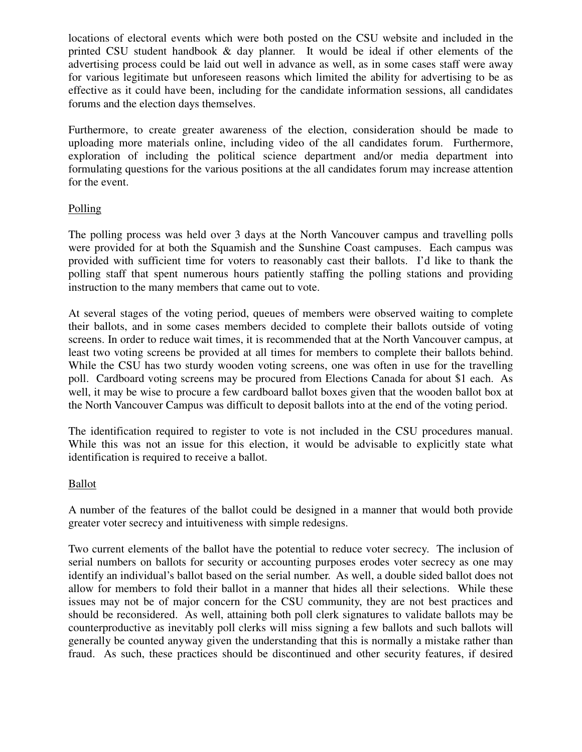locations of electoral events which were both posted on the CSU website and included in the printed CSU student handbook & day planner. It would be ideal if other elements of the advertising process could be laid out well in advance as well, as in some cases staff were away for various legitimate but unforeseen reasons which limited the ability for advertising to be as effective as it could have been, including for the candidate information sessions, all candidates forums and the election days themselves.

Furthermore, to create greater awareness of the election, consideration should be made to uploading more materials online, including video of the all candidates forum. Furthermore, exploration of including the political science department and/or media department into formulating questions for the various positions at the all candidates forum may increase attention for the event.

#### Polling

The polling process was held over 3 days at the North Vancouver campus and travelling polls were provided for at both the Squamish and the Sunshine Coast campuses. Each campus was provided with sufficient time for voters to reasonably cast their ballots. I'd like to thank the polling staff that spent numerous hours patiently staffing the polling stations and providing instruction to the many members that came out to vote.

At several stages of the voting period, queues of members were observed waiting to complete their ballots, and in some cases members decided to complete their ballots outside of voting screens. In order to reduce wait times, it is recommended that at the North Vancouver campus, at least two voting screens be provided at all times for members to complete their ballots behind. While the CSU has two sturdy wooden voting screens, one was often in use for the travelling poll. Cardboard voting screens may be procured from Elections Canada for about \$1 each. As well, it may be wise to procure a few cardboard ballot boxes given that the wooden ballot box at the North Vancouver Campus was difficult to deposit ballots into at the end of the voting period.

The identification required to register to vote is not included in the CSU procedures manual. While this was not an issue for this election, it would be advisable to explicitly state what identification is required to receive a ballot.

#### Ballot

A number of the features of the ballot could be designed in a manner that would both provide greater voter secrecy and intuitiveness with simple redesigns.

Two current elements of the ballot have the potential to reduce voter secrecy. The inclusion of serial numbers on ballots for security or accounting purposes erodes voter secrecy as one may identify an individual's ballot based on the serial number. As well, a double sided ballot does not allow for members to fold their ballot in a manner that hides all their selections. While these issues may not be of major concern for the CSU community, they are not best practices and should be reconsidered. As well, attaining both poll clerk signatures to validate ballots may be counterproductive as inevitably poll clerks will miss signing a few ballots and such ballots will generally be counted anyway given the understanding that this is normally a mistake rather than fraud. As such, these practices should be discontinued and other security features, if desired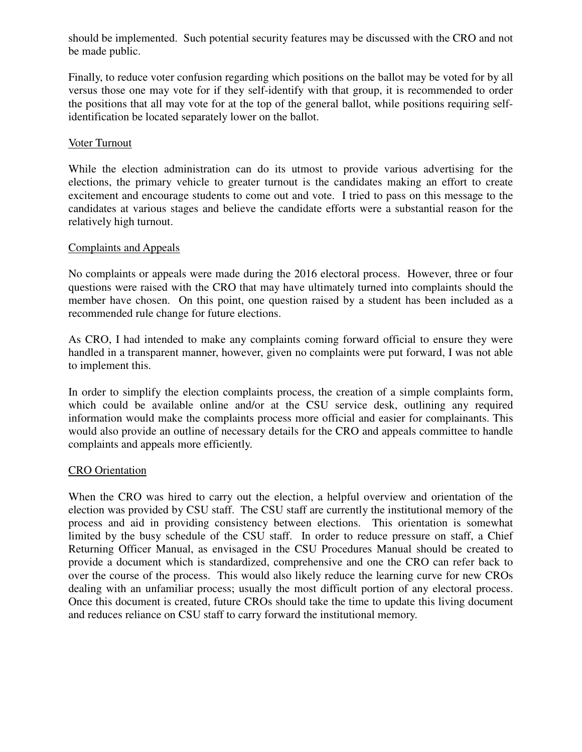should be implemented. Such potential security features may be discussed with the CRO and not be made public.

Finally, to reduce voter confusion regarding which positions on the ballot may be voted for by all versus those one may vote for if they self-identify with that group, it is recommended to order the positions that all may vote for at the top of the general ballot, while positions requiring selfidentification be located separately lower on the ballot.

#### Voter Turnout

While the election administration can do its utmost to provide various advertising for the elections, the primary vehicle to greater turnout is the candidates making an effort to create excitement and encourage students to come out and vote. I tried to pass on this message to the candidates at various stages and believe the candidate efforts were a substantial reason for the relatively high turnout.

#### Complaints and Appeals

No complaints or appeals were made during the 2016 electoral process. However, three or four questions were raised with the CRO that may have ultimately turned into complaints should the member have chosen. On this point, one question raised by a student has been included as a recommended rule change for future elections.

As CRO, I had intended to make any complaints coming forward official to ensure they were handled in a transparent manner, however, given no complaints were put forward, I was not able to implement this.

In order to simplify the election complaints process, the creation of a simple complaints form, which could be available online and/or at the CSU service desk, outlining any required information would make the complaints process more official and easier for complainants. This would also provide an outline of necessary details for the CRO and appeals committee to handle complaints and appeals more efficiently.

#### CRO Orientation

When the CRO was hired to carry out the election, a helpful overview and orientation of the election was provided by CSU staff. The CSU staff are currently the institutional memory of the process and aid in providing consistency between elections. This orientation is somewhat limited by the busy schedule of the CSU staff. In order to reduce pressure on staff, a Chief Returning Officer Manual, as envisaged in the CSU Procedures Manual should be created to provide a document which is standardized, comprehensive and one the CRO can refer back to over the course of the process. This would also likely reduce the learning curve for new CROs dealing with an unfamiliar process; usually the most difficult portion of any electoral process. Once this document is created, future CROs should take the time to update this living document and reduces reliance on CSU staff to carry forward the institutional memory.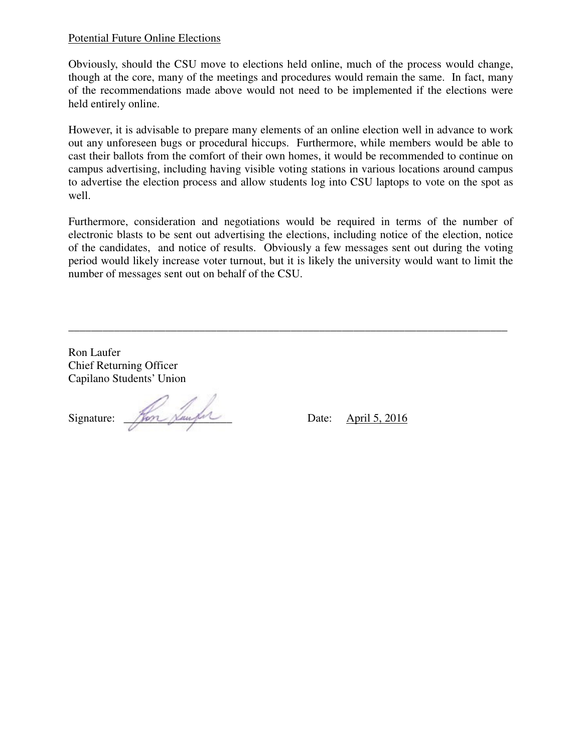#### Potential Future Online Elections

Obviously, should the CSU move to elections held online, much of the process would change, though at the core, many of the meetings and procedures would remain the same. In fact, many of the recommendations made above would not need to be implemented if the elections were held entirely online.

However, it is advisable to prepare many elements of an online election well in advance to work out any unforeseen bugs or procedural hiccups. Furthermore, while members would be able to cast their ballots from the comfort of their own homes, it would be recommended to continue on campus advertising, including having visible voting stations in various locations around campus to advertise the election process and allow students log into CSU laptops to vote on the spot as well.

Furthermore, consideration and negotiations would be required in terms of the number of electronic blasts to be sent out advertising the elections, including notice of the election, notice of the candidates, and notice of results. Obviously a few messages sent out during the voting period would likely increase voter turnout, but it is likely the university would want to limit the number of messages sent out on behalf of the CSU.

\_\_\_\_\_\_\_\_\_\_\_\_\_\_\_\_\_\_\_\_\_\_\_\_\_\_\_\_\_\_\_\_\_\_\_\_\_\_\_\_\_\_\_\_\_\_\_\_\_\_\_\_\_\_\_\_\_\_\_\_\_\_\_\_\_\_\_\_\_\_\_\_\_\_\_\_\_

Ron Laufer Chief Returning Officer Capilano Students' Union

Signature: \_\_\_\_\_\_\_\_\_\_\_\_\_\_\_\_\_\_\_ Date: April 5, 2016